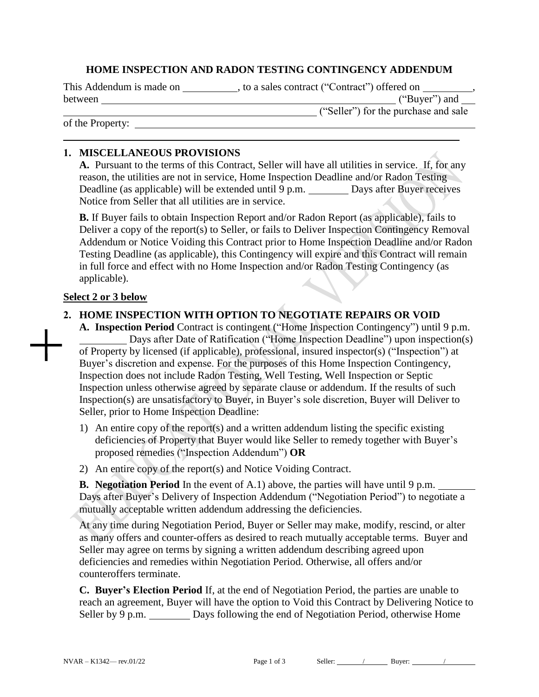### **HOME INSPECTION AND RADON TESTING CONTINGENCY ADDENDUM**

This Addendum is made on \_\_\_\_\_\_\_\_\_\_\_, to a sales contract ("Contract") offered on between ("Buyer") and

of the Property:

("Seller") for the purchase and sale

### **1. MISCELLANEOUS PROVISIONS**

**A.** Pursuant to the terms of this Contract, Seller will have all utilities in service. If, for any reason, the utilities are not in service, Home Inspection Deadline and/or Radon Testing Deadline (as applicable) will be extended until 9 p.m. \_\_\_\_\_\_\_\_ Days after Buyer receives Notice from Seller that all utilities are in service.

**B.** If Buyer fails to obtain Inspection Report and/or Radon Report (as applicable), fails to Deliver a copy of the report(s) to Seller, or fails to Deliver Inspection Contingency Removal Addendum or Notice Voiding this Contract prior to Home Inspection Deadline and/or Radon Testing Deadline (as applicable), this Contingency will expire and this Contract will remain in full force and effect with no Home Inspection and/or Radon Testing Contingency (as applicable).

### **Select 2 or 3 below**

### **2. HOME INSPECTION WITH OPTION TO NEGOTIATE REPAIRS OR VOID**

**A. Inspection Period** Contract is contingent ("Home Inspection Contingency") until 9 p.m. Days after Date of Ratification ("Home Inspection Deadline") upon inspection(s) of Property by licensed (if applicable), professional, insured inspector(s) ("Inspection") at Buyer's discretion and expense. For the purposes of this Home Inspection Contingency, Inspection does not include Radon Testing, Well Testing, Well Inspection or Septic Inspection unless otherwise agreed by separate clause or addendum. If the results of such Inspection(s) are unsatisfactory to Buyer, in Buyer's sole discretion, Buyer will Deliver to Seller, prior to Home Inspection Deadline:

- 1) An entire copy of the report(s) and a written addendum listing the specific existing deficiencies of Property that Buyer would like Seller to remedy together with Buyer's proposed remedies ("Inspection Addendum") **OR**
- 2) An entire copy of the report(s) and Notice Voiding Contract.

**B. Negotiation Period** In the event of A.1) above, the parties will have until 9 p.m. Days after Buyer's Delivery of Inspection Addendum ("Negotiation Period") to negotiate a mutually acceptable written addendum addressing the deficiencies.

At any time during Negotiation Period, Buyer or Seller may make, modify, rescind, or alter as many offers and counter-offers as desired to reach mutually acceptable terms. Buyer and Seller may agree on terms by signing a written addendum describing agreed upon deficiencies and remedies within Negotiation Period. Otherwise, all offers and/or counteroffers terminate.

**C. Buyer's Election Period** If, at the end of Negotiation Period, the parties are unable to reach an agreement, Buyer will have the option to Void this Contract by Delivering Notice to Seller by 9 p.m. Days following the end of Negotiation Period, otherwise Home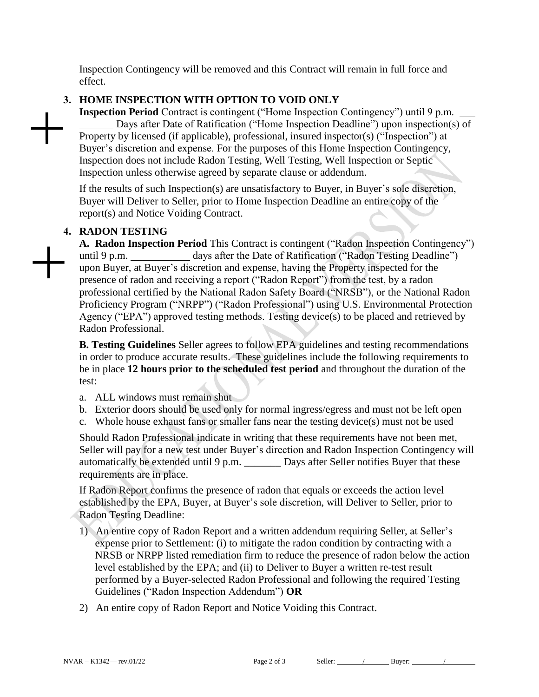Inspection Contingency will be removed and this Contract will remain in full force and effect.

# **3. HOME INSPECTION WITH OPTION TO VOID ONLY**

**Inspection Period** Contract is contingent ("Home Inspection Contingency") until 9 p.m. Days after Date of Ratification ("Home Inspection Deadline") upon inspection(s) of Property by licensed (if applicable), professional, insured inspector(s) ("Inspection") at Buyer's discretion and expense. For the purposes of this Home Inspection Contingency, Inspection does not include Radon Testing, Well Testing, Well Inspection or Septic Inspection unless otherwise agreed by separate clause or addendum.

If the results of such Inspection(s) are unsatisfactory to Buyer, in Buyer's sole discretion, Buyer will Deliver to Seller, prior to Home Inspection Deadline an entire copy of the report(s) and Notice Voiding Contract.

## **4. RADON TESTING**

**A. Radon Inspection Period** This Contract is contingent ("Radon Inspection Contingency") until 9 p.m. \_\_\_\_\_\_\_\_\_\_\_\_ days after the Date of Ratification ("Radon Testing Deadline") upon Buyer, at Buyer's discretion and expense, having the Property inspected for the presence of radon and receiving a report ("Radon Report") from the test, by a radon professional certified by the National Radon Safety Board ("NRSB"), or the National Radon Proficiency Program ("NRPP") ("Radon Professional") using U.S. Environmental Protection Agency ("EPA") approved testing methods. Testing device(s) to be placed and retrieved by Radon Professional.

**B. Testing Guidelines** Seller agrees to follow EPA guidelines and testing recommendations in order to produce accurate results. These guidelines include the following requirements to be in place **12 hours prior to the scheduled test period** and throughout the duration of the test:

- a. ALL windows must remain shut
- b. Exterior doors should be used only for normal ingress/egress and must not be left open
- c. Whole house exhaust fans or smaller fans near the testing device(s) must not be used

Should Radon Professional indicate in writing that these requirements have not been met, Seller will pay for a new test under Buyer's direction and Radon Inspection Contingency will automatically be extended until 9 p.m. \_\_\_\_\_\_\_ Days after Seller notifies Buyer that these requirements are in place.

If Radon Report confirms the presence of radon that equals or exceeds the action level established by the EPA, Buyer, at Buyer's sole discretion, will Deliver to Seller, prior to Radon Testing Deadline:

- 1) An entire copy of Radon Report and a written addendum requiring Seller, at Seller's expense prior to Settlement: (i) to mitigate the radon condition by contracting with a NRSB or NRPP listed remediation firm to reduce the presence of radon below the action level established by the EPA; and (ii) to Deliver to Buyer a written re-test result performed by a Buyer-selected Radon Professional and following the required Testing Guidelines ("Radon Inspection Addendum") **OR**
- 2) An entire copy of Radon Report and Notice Voiding this Contract.